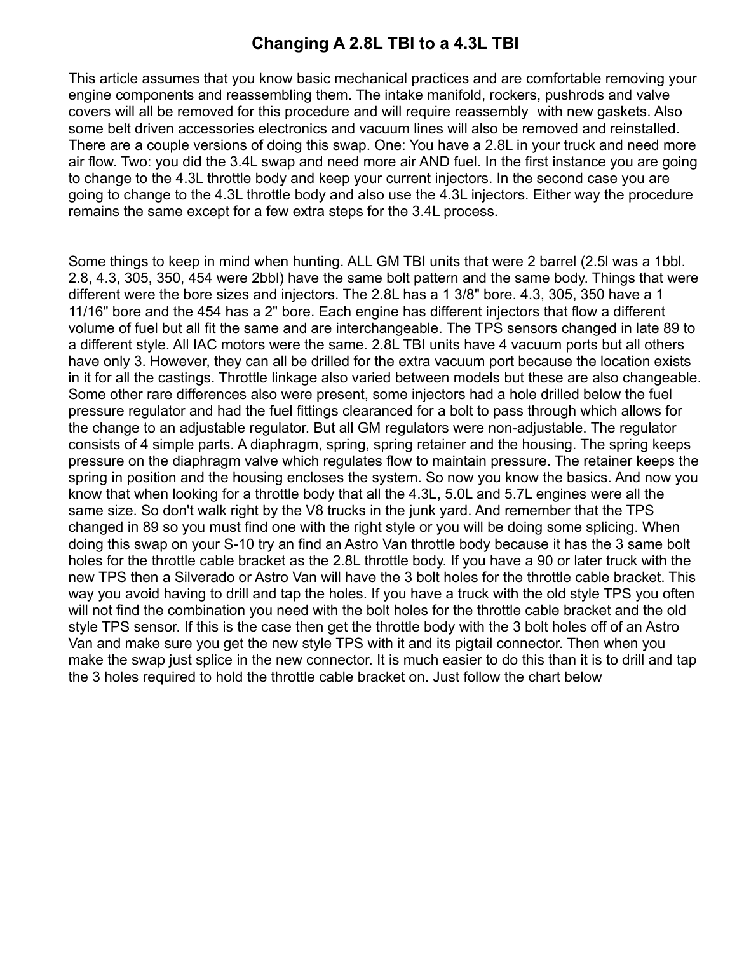## **Changing A 2.8L TBI to a 4.3L TBI**

This article assumes that you know basic mechanical practices and are comfortable removing your engine components and reassembling them. The intake manifold, rockers, pushrods and valve covers will all be removed for this procedure and will require reassembly with new gaskets. Also some belt driven accessories electronics and vacuum lines will also be removed and reinstalled. There are a couple versions of doing this swap. One: You have a 2.8L in your truck and need more air flow. Two: you did the 3.4L swap and need more air AND fuel. In the first instance you are going to change to the 4.3L throttle body and keep your current injectors. In the second case you are going to change to the 4.3L throttle body and also use the 4.3L injectors. Either way the procedure remains the same except for a few extra steps for the 3.4L process.

Some things to keep in mind when hunting. ALL GM TBI units that were 2 barrel (2.5l was a 1bbl. 2.8, 4.3, 305, 350, 454 were 2bbl) have the same bolt pattern and the same body. Things that were different were the bore sizes and injectors. The 2.8L has a 1 3/8" bore. 4.3, 305, 350 have a 1 11/16" bore and the 454 has a 2" bore. Each engine has different injectors that flow a different volume of fuel but all fit the same and are interchangeable. The TPS sensors changed in late 89 to a different style. All IAC motors were the same. 2.8L TBI units have 4 vacuum ports but all others have only 3. However, they can all be drilled for the extra vacuum port because the location exists in it for all the castings. Throttle linkage also varied between models but these are also changeable. Some other rare differences also were present, some injectors had a hole drilled below the fuel pressure regulator and had the fuel fittings clearanced for a bolt to pass through which allows for the change to an adjustable regulator. But all GM regulators were non-adjustable. The regulator consists of 4 simple parts. A diaphragm, spring, spring retainer and the housing. The spring keeps pressure on the diaphragm valve which regulates flow to maintain pressure. The retainer keeps the spring in position and the housing encloses the system. So now you know the basics. And now you know that when looking for a throttle body that all the 4.3L, 5.0L and 5.7L engines were all the same size. So don't walk right by the V8 trucks in the junk yard. And remember that the TPS changed in 89 so you must find one with the right style or you will be doing some splicing. When doing this swap on your S-10 try an find an Astro Van throttle body because it has the 3 same bolt holes for the throttle cable bracket as the 2.8L throttle body. If you have a 90 or later truck with the new TPS then a Silverado or Astro Van will have the 3 bolt holes for the throttle cable bracket. This way you avoid having to drill and tap the holes. If you have a truck with the old style TPS you often will not find the combination you need with the bolt holes for the throttle cable bracket and the old style TPS sensor. If this is the case then get the throttle body with the 3 bolt holes off of an Astro Van and make sure you get the new style TPS with it and its pigtail connector. Then when you make the swap just splice in the new connector. It is much easier to do this than it is to drill and tap the 3 holes required to hold the throttle cable bracket on. Just follow the chart below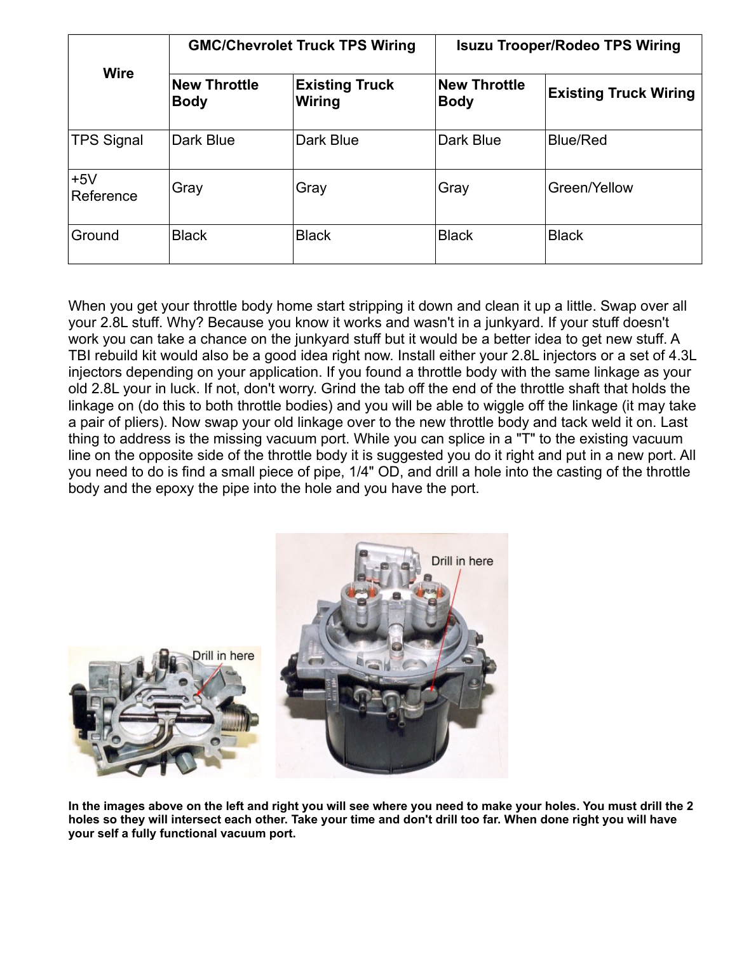| <b>Wire</b>        | <b>GMC/Chevrolet Truck TPS Wiring</b> |                                 | <b>Isuzu Trooper/Rodeo TPS Wiring</b> |                              |
|--------------------|---------------------------------------|---------------------------------|---------------------------------------|------------------------------|
|                    | <b>New Throttle</b><br><b>Body</b>    | <b>Existing Truck</b><br>Wiring | <b>New Throttle</b><br><b>Body</b>    | <b>Existing Truck Wiring</b> |
| <b>TPS Signal</b>  | Dark Blue                             | Dark Blue                       | Dark Blue                             | <b>Blue/Red</b>              |
| $+5V$<br>Reference | Gray                                  | Gray                            | Gray                                  | Green/Yellow                 |
| Ground             | <b>Black</b>                          | <b>Black</b>                    | <b>Black</b>                          | <b>Black</b>                 |

When you get your throttle body home start stripping it down and clean it up a little. Swap over all your 2.8L stuff. Why? Because you know it works and wasn't in a junkyard. If your stuff doesn't work you can take a chance on the junkyard stuff but it would be a better idea to get new stuff. A TBI rebuild kit would also be a good idea right now. Install either your 2.8L injectors or a set of 4.3L injectors depending on your application. If you found a throttle body with the same linkage as your old 2.8L your in luck. If not, don't worry. Grind the tab off the end of the throttle shaft that holds the linkage on (do this to both throttle bodies) and you will be able to wiggle off the linkage (it may take a pair of pliers). Now swap your old linkage over to the new throttle body and tack weld it on. Last thing to address is the missing vacuum port. While you can splice in a "T" to the existing vacuum line on the opposite side of the throttle body it is suggested you do it right and put in a new port. All you need to do is find a small piece of pipe, 1/4" OD, and drill a hole into the casting of the throttle body and the epoxy the pipe into the hole and you have the port.



**In the images above on the left and right you will see where you need to make your holes. You must drill the 2 holes so they will intersect each other. Take your time and don't drill too far. When done right you will have your self a fully functional vacuum port.**